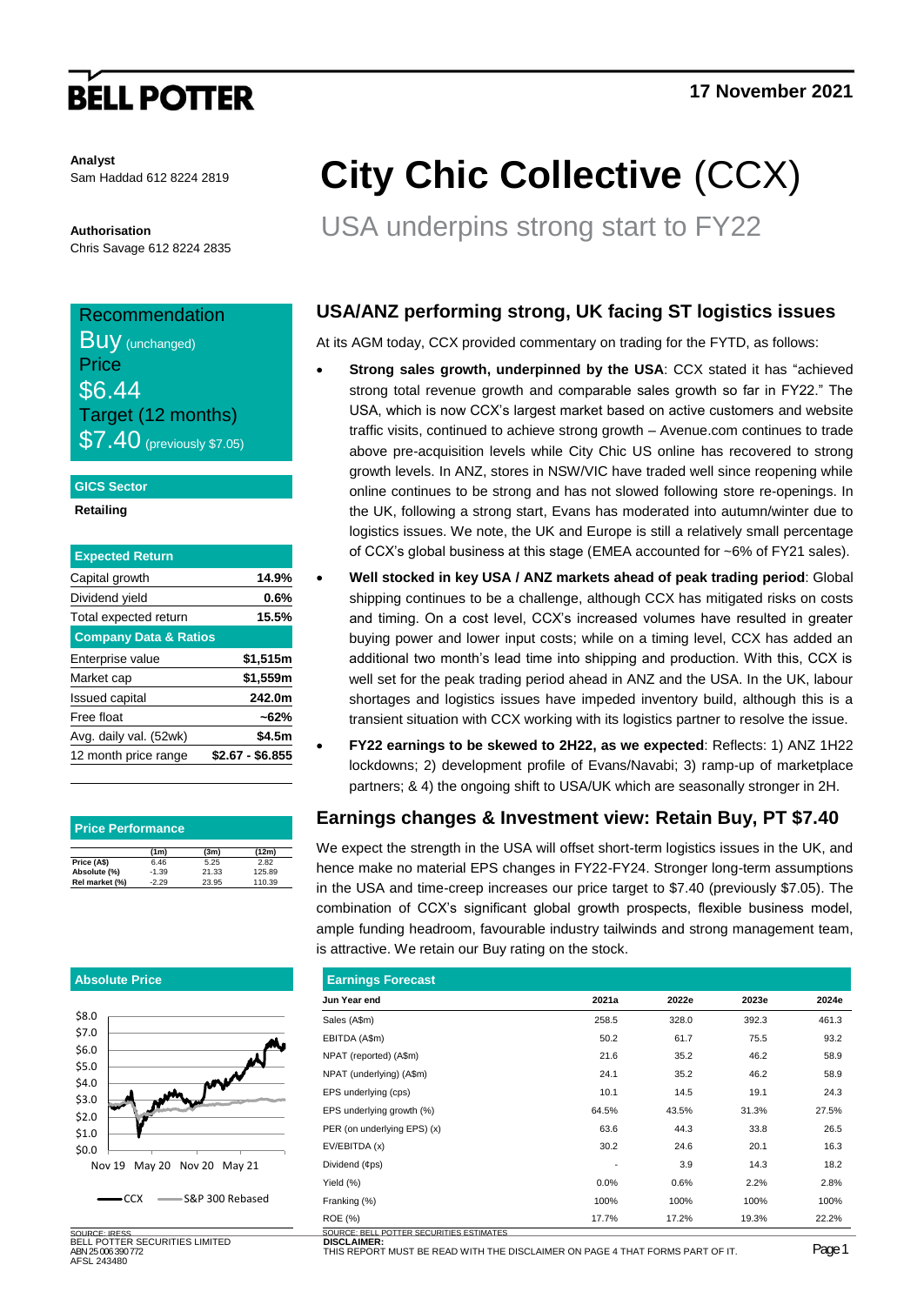# **BELL POTTER**

**Analyst** Sam Haddad 612 8224 2819

**Authorisation** Chris Savage 612 8224 2835

### Recommendation **BUV**

| $\mathbf{u}$ y (unchanged) |
|----------------------------|
| Price                      |
| \$6.44                     |
| Target (12 months)         |
| \$7.40 (previously \$7.05) |

### **GICS Sector**

**Retailing**

| <b>Expected Return</b>           |                  |
|----------------------------------|------------------|
| Capital growth                   | 14.9%            |
| Dividend yield                   | $0.6\%$          |
| Total expected return            | 15.5%            |
| <b>Company Data &amp; Ratios</b> |                  |
| Enterprise value                 | \$1,515m         |
| Market cap                       | \$1,559m         |
| <b>Issued capital</b>            | 242.0m           |
| Free float                       | $~162\%$         |
| Avg. daily val. (52wk)           | \$4.5m           |
| 12 month price range             | \$2.67 - \$6.855 |

| <b>Price Performance</b> |         |       |        |  |  |  |  |
|--------------------------|---------|-------|--------|--|--|--|--|
|                          | (1m)    | (3m)  | (12m)  |  |  |  |  |
| Price (A\$)              | 6.46    | 5.25  | 2.82   |  |  |  |  |
| Absolute (%)             | $-1.39$ | 21.33 | 125.89 |  |  |  |  |
| Rel market (%)           | $-2.29$ | 23.95 | 110.39 |  |  |  |  |

### **Absolute Price**  $50.0$ \$1.0 \$2.0 \$3.0 \$4.0 \$5.0 \$6.0 \$7.0 \$8.0 Nov 19 May 20 Nov 20 May 21  $-CCX$   $\longrightarrow$  S&P 300 Rebased

BELL POTTER SECURITIES LIMITED ABN 25 006 390 772 AFSL 243480

# **City Chic Collective** (CCX)

USA underpins strong start to FY22

## **USA/ANZ performing strong, UK facing ST logistics issues**

At its AGM today, CCX provided commentary on trading for the FYTD, as follows:

- **Strong sales growth, underpinned by the USA**: CCX stated it has "achieved strong total revenue growth and comparable sales growth so far in FY22." The USA, which is now CCX's largest market based on active customers and website traffic visits, continued to achieve strong growth – Avenue.com continues to trade above pre-acquisition levels while City Chic US online has recovered to strong growth levels. In ANZ, stores in NSW/VIC have traded well since reopening while online continues to be strong and has not slowed following store re-openings. In the UK, following a strong start, Evans has moderated into autumn/winter due to logistics issues. We note, the UK and Europe is still a relatively small percentage of CCX's global business at this stage (EMEA accounted for ~6% of FY21 sales).
- **Well stocked in key USA / ANZ markets ahead of peak trading period**: Global shipping continues to be a challenge, although CCX has mitigated risks on costs and timing. On a cost level, CCX's increased volumes have resulted in greater buying power and lower input costs; while on a timing level, CCX has added an additional two month's lead time into shipping and production. With this, CCX is well set for the peak trading period ahead in ANZ and the USA. In the UK, labour shortages and logistics issues have impeded inventory build, although this is a transient situation with CCX working with its logistics partner to resolve the issue.
- **FY22 earnings to be skewed to 2H22, as we expected**: Reflects: 1) ANZ 1H22 lockdowns; 2) development profile of Evans/Navabi; 3) ramp-up of marketplace partners; & 4) the ongoing shift to USA/UK which are seasonally stronger in 2H.

## **Earnings changes & Investment view: Retain Buy, PT \$7.40**

We expect the strength in the USA will offset short-term logistics issues in the UK, and hence make no material EPS changes in FY22-FY24. Stronger long-term assumptions in the USA and time-creep increases our price target to \$7.40 (previously \$7.05). The combination of CCX's significant global growth prospects, flexible business model, ample funding headroom, favourable industry tailwinds and strong management team, is attractive. We retain our Buy rating on the stock.

| <b>Earnings Forecast</b>                                   |       |       |       |       |  |  |  |  |  |  |
|------------------------------------------------------------|-------|-------|-------|-------|--|--|--|--|--|--|
| Jun Year end                                               | 2021a | 2022e | 2023e | 2024e |  |  |  |  |  |  |
| Sales (A\$m)                                               | 258.5 | 328.0 | 392.3 | 461.3 |  |  |  |  |  |  |
| EBITDA (A\$m)                                              | 50.2  | 61.7  | 75.5  | 93.2  |  |  |  |  |  |  |
| NPAT (reported) (A\$m)                                     | 21.6  | 35.2  | 46.2  | 58.9  |  |  |  |  |  |  |
| NPAT (underlying) (A\$m)                                   | 24.1  | 35.2  | 46.2  | 58.9  |  |  |  |  |  |  |
| EPS underlying (cps)                                       | 10.1  | 14.5  | 19.1  | 24.3  |  |  |  |  |  |  |
| EPS underlying growth (%)                                  | 64.5% | 43.5% | 31.3% | 27.5% |  |  |  |  |  |  |
| PER (on underlying EPS) (x)                                | 63.6  | 44.3  | 33.8  | 26.5  |  |  |  |  |  |  |
| EV/EBITDA (x)                                              | 30.2  | 24.6  | 20.1  | 16.3  |  |  |  |  |  |  |
| Dividend (¢ps)                                             |       | 3.9   | 14.3  | 18.2  |  |  |  |  |  |  |
| Yield (%)                                                  | 0.0%  | 0.6%  | 2.2%  | 2.8%  |  |  |  |  |  |  |
| Franking (%)                                               | 100%  | 100%  | 100%  | 100%  |  |  |  |  |  |  |
| <b>ROE</b> (%)<br>COUDSE BELL BOTTER SEQURITIES FOTILISTES | 17.7% | 17.2% | 19.3% | 22.2% |  |  |  |  |  |  |

**DISCLAIMER:** SOURCE: IRESS SOURCE: BELL POTTER SECURITIES ESTIMATES

UIS REPORT MUST BE READ WITH THE DISCLAIMER ON PAGE 4 THAT FORMS PART OF IT. PAGE 1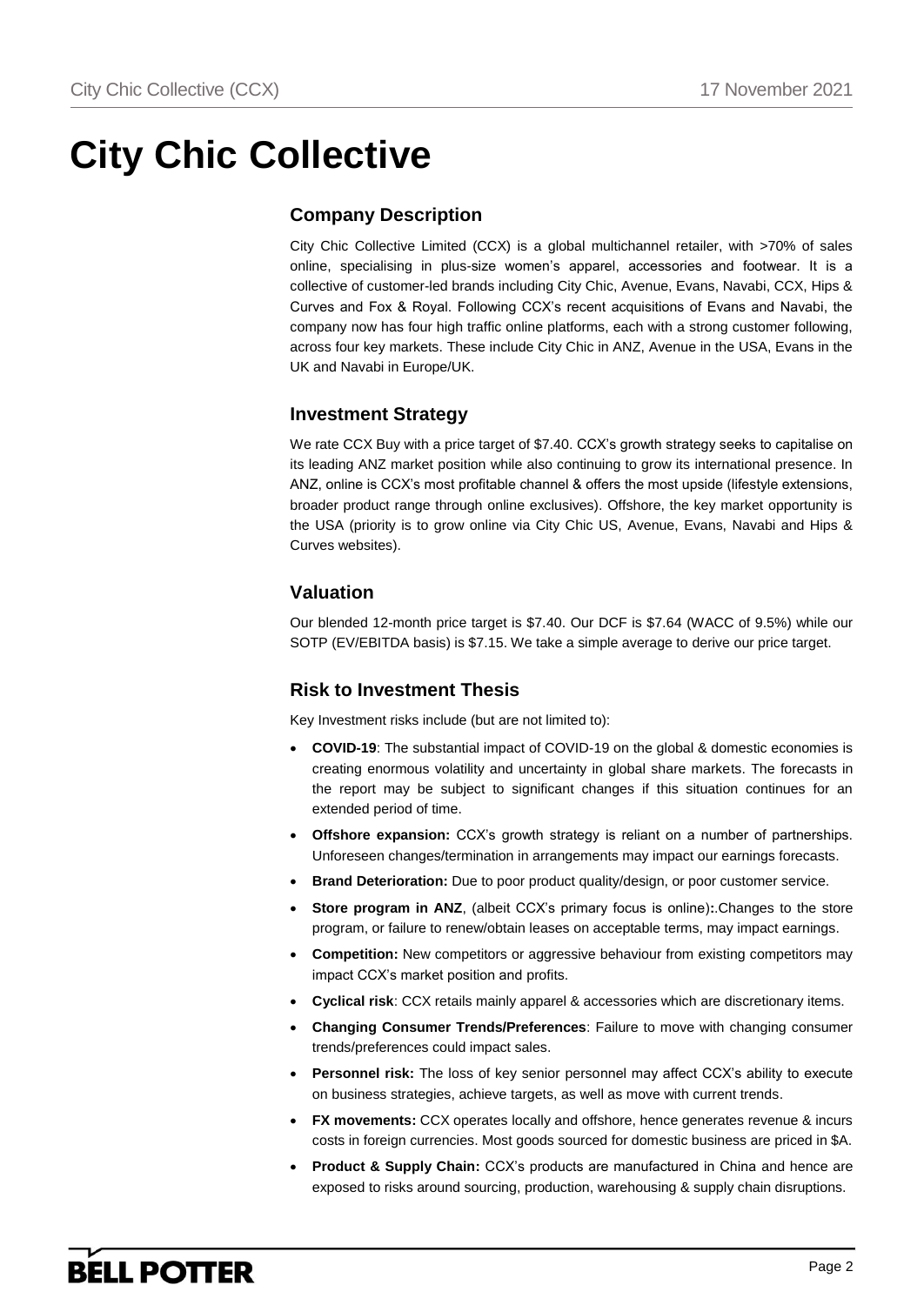## **City Chic Collective**

## **Company Description**

City Chic Collective Limited (CCX) is a global multichannel retailer, with >70% of sales online, specialising in plus-size women's apparel, accessories and footwear. It is a collective of customer-led brands including City Chic, Avenue, Evans, Navabi, CCX, Hips & Curves and Fox & Royal. Following CCX's recent acquisitions of Evans and Navabi, the company now has four high traffic online platforms, each with a strong customer following, across four key markets. These include City Chic in ANZ, Avenue in the USA, Evans in the UK and Navabi in Europe/UK.

### **Investment Strategy**

We rate CCX Buy with a price target of \$7.40. CCX's growth strategy seeks to capitalise on its leading ANZ market position while also continuing to grow its international presence. In ANZ, online is CCX's most profitable channel & offers the most upside (lifestyle extensions, broader product range through online exclusives). Offshore, the key market opportunity is the USA (priority is to grow online via City Chic US, Avenue, Evans, Navabi and Hips & Curves websites).

### **Valuation**

Our blended 12-month price target is \$7.40. Our DCF is \$7.64 (WACC of 9.5%) while our SOTP (EV/EBITDA basis) is \$7.15. We take a simple average to derive our price target.

## **Risk to Investment Thesis**

Key Investment risks include (but are not limited to):

- **COVID-19**: The substantial impact of COVID-19 on the global & domestic economies is creating enormous volatility and uncertainty in global share markets. The forecasts in the report may be subject to significant changes if this situation continues for an extended period of time.
- **Offshore expansion:** CCX's growth strategy is reliant on a number of partnerships. Unforeseen changes/termination in arrangements may impact our earnings forecasts.
- **Brand Deterioration:** Due to poor product quality/design, or poor customer service.
- **Store program in ANZ**, (albeit CCX's primary focus is online)**:**.Changes to the store program, or failure to renew/obtain leases on acceptable terms, may impact earnings.
- **Competition:** New competitors or aggressive behaviour from existing competitors may impact CCX's market position and profits.
- **Cyclical risk**: CCX retails mainly apparel & accessories which are discretionary items.
- **Changing Consumer Trends/Preferences**: Failure to move with changing consumer trends/preferences could impact sales.
- **Personnel risk:** The loss of key senior personnel may affect CCX's ability to execute on business strategies, achieve targets, as well as move with current trends.
- **FX movements:** CCX operates locally and offshore, hence generates revenue & incurs costs in foreign currencies. Most goods sourced for domestic business are priced in \$A.
- **Product & Supply Chain:** CCX's products are manufactured in China and hence are exposed to risks around sourcing, production, warehousing & supply chain disruptions.

## **BELL POTTER**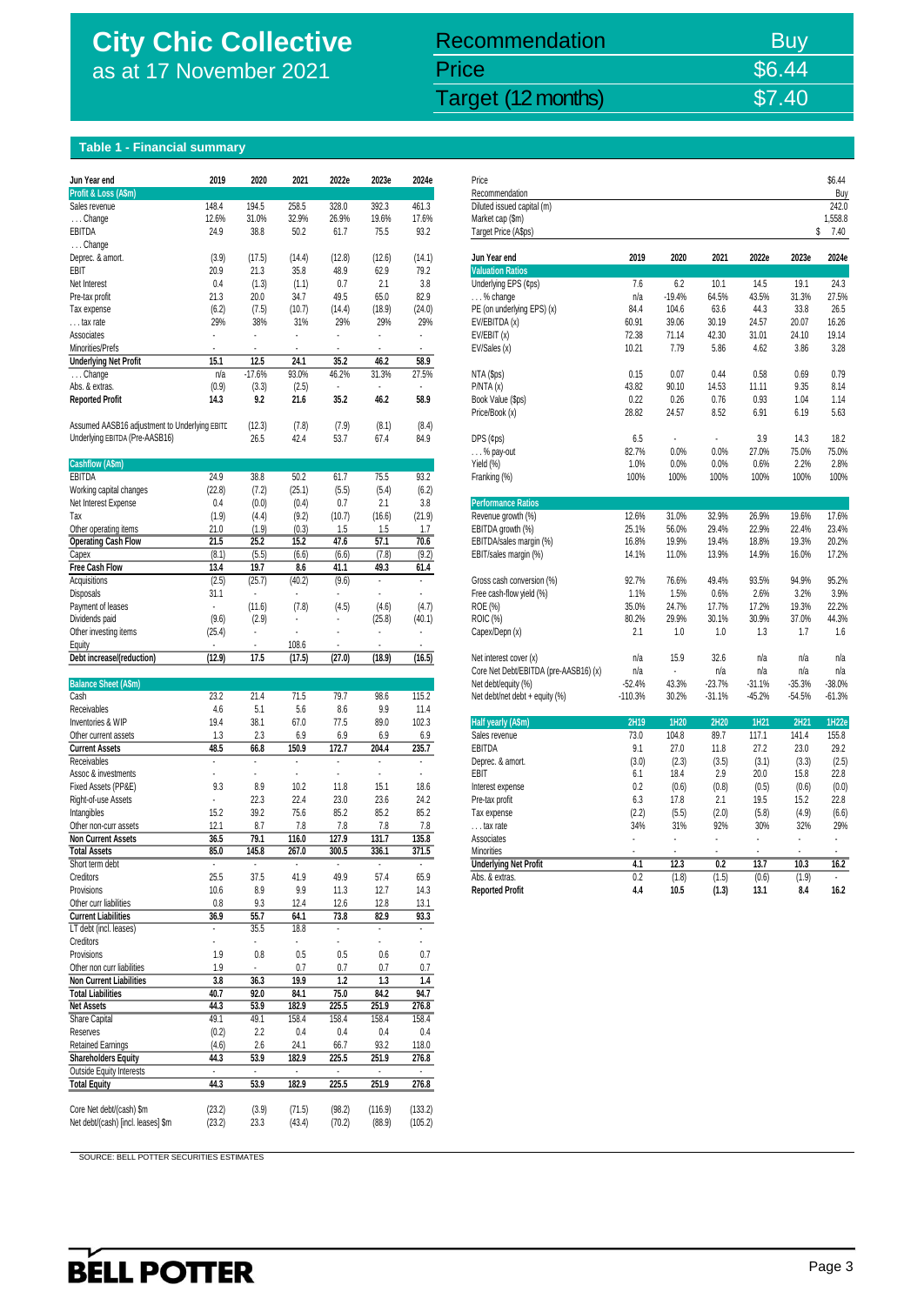## **City Chic Collective** as at 17 November 2021

City Chic Collective (CCX) 17 November 2021 Target (12 months) \$7.40 \$7.40 Recommendation Buy Price \$6.44

### **Table 1 - Financial summary**

| Jun Year end                                                 | 2019           | 2020           | 2021           | 2022e          | 2023e                    | 2024e          | Price                                 |              |                |              |              |              | \$6.44       |
|--------------------------------------------------------------|----------------|----------------|----------------|----------------|--------------------------|----------------|---------------------------------------|--------------|----------------|--------------|--------------|--------------|--------------|
| Profit & Loss (A\$m)                                         |                |                |                |                |                          |                | Recommendation                        |              |                |              |              |              | Buy          |
| Sales revenue                                                | 148.4          | 194.5          | 258.5          | 328.0          | 392.3                    | 461.3          | Diluted issued capital (m)            |              |                |              |              |              | 242.0        |
| Change                                                       | 12.6%          | 31.0%          | 32.9%          | 26.9%          | 19.6%                    | 17.6%          | Market cap (\$m)                      |              |                |              |              |              | 1,558.8      |
| EBITDA                                                       | 24.9           | 38.8           | 50.2           | 61.7           | 75.5                     | 93.2           | Target Price (A\$ps)                  |              |                |              |              | \$           | 7.40         |
| Change                                                       |                |                |                |                |                          |                |                                       |              |                |              |              |              |              |
| Deprec. & amort.                                             | (3.9)          | (17.5)         | (14.4)         | (12.8)         | (12.6)                   | (14.1)         | Jun Year end                          | 2019         | 2020           | 2021         | 2022e        | 2023e        | 2024e        |
| EBIT                                                         | 20.9           | 21.3           | 35.8           | 48.9           | 62.9                     | 79.2           | <b>Valuation Ratios</b>               |              |                |              |              |              |              |
| Net Interest                                                 | 0.4            | (1.3)          | (1.1)          | 0.7            | 2.1                      | 3.8            | Underlying EPS (¢ps)                  | 7.6          | 6.2            | 10.1         | 14.5         | 19.1         | 24.3         |
| Pre-tax profit                                               | 21.3           | 20.0           | 34.7           | 49.5           | 65.0                     | 82.9           | $\ldots$ % change                     | n/a          | $-19.4%$       | 64.5%        | 43.5%        | 31.3%        | 27.5%        |
| Tax expense                                                  | (6.2)          | (7.5)          | (10.7)         | (14.4)         | (18.9)                   | (24.0)         | PE (on underlying EPS) (x)            | 84.4         | 104.6          | 63.6         | 44.3         | 33.8         | 26.5         |
| tax rate                                                     | 29%            | 38%            | 31%            | 29%            | 29%                      | 29%            | EV/EBITDA (x)                         | 60.91        | 39.06          | 30.19        | 24.57        | 20.07        | 16.26        |
| Associates                                                   | ÷,             | ä,             | ÷.             | ÷.             | ä,                       | ä,             | EV/EBIT(x)                            | 72.38        | 71.14          | 42.30        | 31.01        | 24.10        | 19.14        |
| Minorities/Prefs                                             |                |                |                |                |                          |                | EV/Sales (x)                          | 10.21        | 7.79           | 5.86         | 4.62         | 3.86         | 3.28         |
| <b>Underlying Net Profit</b>                                 | 15.1           | 12.5           | 24.1           | 35.2           | 46.2                     | 58.9           |                                       |              |                |              |              |              |              |
| Change                                                       | n/a            | $-17.6%$       | 93.0%          | 46.2%          | 31.3%                    | 27.5%          | NTA (\$ps)                            | 0.15         | 0.07           | 0.44         | 0.58         | 0.69         | 0.79         |
| Abs. & extras.                                               | (0.9)          | (3.3)          | (2.5)          | $\blacksquare$ |                          |                | P/NTA(x)                              | 43.82        | 90.10          | 14.53        | 11.11        | 9.35         | 8.14         |
| <b>Reported Profit</b>                                       | 14.3           | 9.2            | 21.6           | 35.2           | 46.2                     | 58.9           | Book Value (\$ps)                     | 0.22         | 0.26           | 0.76         | 0.93         | 1.04         | 1.14         |
|                                                              |                |                |                |                |                          |                | Price/Book (x)                        | 28.82        | 24.57          | 8.52         | 6.91         | 6.19         | 5.63         |
| Assumed AASB16 adjustment to Underlying EBITE                |                | (12.3)         | (7.8)          | (7.9)          | (8.1)                    | (8.4)          |                                       |              |                | ÷.           |              |              |              |
| Underlying EBITDA (Pre-AASB16)                               |                | 26.5           | 42.4           | 53.7           | 67.4                     | 84.9           | $DPS$ (¢ps)                           | 6.5          | ÷.             |              | 3.9          | 14.3         | 18.2         |
|                                                              |                |                |                |                |                          |                | % pay-out                             | 82.7%        | 0.0%           | 0.0%         | 27.0%        | 75.0%        | 75.0%        |
| Cashflow (A\$m)<br>EBITDA                                    | 24.9           | 38.8           | 50.2           | 61.7           | 75.5                     | 93.2           | Yield (%)                             | 1.0%<br>100% | 0.0%<br>100%   | 0.0%<br>100% | 0.6%<br>100% | 2.2%<br>100% | 2.8%<br>100% |
|                                                              | (22.8)         | (7.2)          | (25.1)         |                | (5.4)                    |                | Franking (%)                          |              |                |              |              |              |              |
| Working capital changes                                      | 0.4            | (0.0)          |                | (5.5)<br>0.7   | 2.1                      | (6.2)<br>3.8   | <b>Performance Ratios</b>             |              |                |              |              |              |              |
| Net Interest Expense<br>Tax                                  |                | (4.4)          | (0.4)<br>(9.2) | (10.7)         |                          | (21.9)         | Revenue growth (%)                    | 12.6%        | 31.0%          | 32.9%        | 26.9%        | 19.6%        | 17.6%        |
| Other operating items                                        | (1.9)<br>21.0  | (1.9)          | (0.3)          | 1.5            | (16.6)<br>1.5            | 1.7            | EBITDA growth (%)                     | 25.1%        | 56.0%          | 29.4%        | 22.9%        | 22.4%        | 23.4%        |
| <b>Operating Cash Flow</b>                                   | 21.5           | 25.2           | 15.2           | 47.6           | 57.1                     | 70.6           | EBITDA/sales margin (%)               | 16.8%        | 19.9%          | 19.4%        | 18.8%        | 19.3%        | 20.2%        |
| Capex                                                        | (8.1)          | (5.5)          | (6.6)          | (6.6)          | (7.8)                    | (9.2)          | EBIT/sales margin (%)                 | 14.1%        | 11.0%          | 13.9%        | 14.9%        | 16.0%        | 17.2%        |
| <b>Free Cash Flow</b>                                        | 13.4           | 19.7           | 8.6            | 41.1           | 49.3                     | 61.4           |                                       |              |                |              |              |              |              |
| Acquisitions                                                 | (2.5)          | (25.7)         | (40.2)         | (9.6)          | $\blacksquare$           | $\blacksquare$ | Gross cash conversion (%)             | 92.7%        | 76.6%          | 49.4%        | 93.5%        | 94.9%        | 95.2%        |
| Disposals                                                    | 31.1           | $\epsilon$     | ٠              | ÷.             | ÷.                       | $\mathbf{r}$   | Free cash-flow yield (%)              | 1.1%         | 1.5%           | 0.6%         | 2.6%         | 3.2%         | 3.9%         |
| Payment of leases                                            | $\blacksquare$ | (11.6)         | (7.8)          | (4.5)          | (4.6)                    | (4.7)          | ROE (%)                               | 35.0%        | 24.7%          | 17.7%        | 17.2%        | 19.3%        | 22.2%        |
| Dividends paid                                               | (9.6)          | (2.9)          | ÷.             | ٠              | (25.8)                   | (40.1)         | <b>ROIC (%)</b>                       | 80.2%        | 29.9%          | 30.1%        | 30.9%        | 37.0%        | 44.3%        |
| Other investing items                                        | (25.4)         | $\blacksquare$ | ä,             | ä,             | ÷                        | ÷.             | Capex/Depn (x)                        | 2.1          | 1.0            | 1.0          | 1.3          | 1.7          | 1.6          |
| Equity                                                       | $\sim$         | ÷.             | 108.6          | ä,             | ä,                       | $\mathbf{r}$   |                                       |              |                |              |              |              |              |
| Debt increase/(reduction)                                    | (12.9)         | 17.5           | (17.5)         | (27.0)         | (18.9)                   | (16.5)         | Net interest cover (x)                | n/a          | 15.9           | 32.6         | n/a          | n/a          | n/a          |
|                                                              |                |                |                |                |                          |                | Core Net Debt/EBITDA (pre-AASB16) (x) | n/a          | $\blacksquare$ | n/a          | n/a          | n/a          | n/a          |
| <b>Balance Sheet (A\$m)</b>                                  |                |                |                |                |                          |                | Net debt/equity (%)                   | $-52.4%$     | 43.3%          | $-23.7%$     | $-31.1%$     | $-35.3%$     | $-38.0%$     |
| Cash                                                         | 23.2           | 21.4           | 71.5           | 79.7           | 98.6                     | 115.2          | Net debt/net debt + equity (%)        | $-110.3%$    | 30.2%          | $-31.1%$     | $-45.2%$     | $-54.5%$     | $-61.3%$     |
| Receivables                                                  | 4.6            | 5.1            | 5.6            | 8.6            | 9.9                      | 11.4           |                                       |              |                |              |              |              |              |
| Inventories & WIP                                            | 19.4           | 38.1           | 67.0           | 77.5           | 89.0                     | 102.3          | Half yearly (A\$m)                    | 2H19         | 1H20           | 2H20         | 1H21         | 2H21         | 1H22e        |
| Other current assets                                         | 1.3            | 2.3            | 6.9            | 6.9            | 6.9                      | 6.9            | Sales revenue                         | 73.0         | 104.8          | 89.7         | 117.1        | 141.4        | 155.8        |
| <b>Current Assets</b>                                        | 48.5           | 66.8           | 150.9          | 172.7          | 204.4                    | 235.7          | EBITDA                                | 9.1          | 27.0           | 11.8         | 27.2         | 23.0         | 29.2         |
| Receivables                                                  | $\cdot$        | $\blacksquare$ | $\blacksquare$ | ٠              | $\overline{\phantom{a}}$ | $\blacksquare$ | Deprec. & amort.                      | (3.0)        | (2.3)          | (3.5)        | (3.1)        | (3.3)        | (2.5)        |
| Assoc & investments                                          | $\sim$         | $\blacksquare$ | ×.             | ÷.             | $\blacksquare$           | ÷.             | EBIT                                  | 6.1          | 18.4           | 2.9          | 20.0         | 15.8         | 22.8         |
| Fixed Assets (PP&E)                                          | 9.3            | 8.9            | 10.2           | 11.8           | 15.1                     | 18.6           | Interest expense                      | 0.2          | (0.6)          | (0.8)        | (0.5)        | (0.6)        | (0.0)        |
| Right-of-use Assets                                          | $\blacksquare$ | 22.3           | 22.4           | 23.0           | 23.6                     | 24.2           | Pre-tax profit                        | 6.3          | 17.8           | 2.1          | 19.5         | 15.2         | 22.8         |
| Intangibles                                                  | 15.2           | 39.2           | 75.6           | 85.2           | 85.2                     | 85.2           | Tax expense                           | (2.2)        | (5.5)          | (2.0)        | (5.8)        | (4.9)        | (6.6)        |
| Other non-curr assets                                        | 12.1           | 8.7            | 7.8            | 7.8            | 7.8                      | 7.8            | tax rate                              | 34%          | 31%            | 92%          | 30%          | 32%          | 29%          |
| <b>Non Current Assets</b>                                    | 36.5           | 79.1           | 116.0          | 127.9          | 131.7                    | 135.8          | Associates                            | ä,           | ä,             | ä,           | ä,           | ÷            |              |
| <b>Total Assets</b>                                          | 85.0           | 145.8          | 267.0          | 300.5          | 336.1                    | 371.5          | Minorities                            |              | ٠              |              |              |              |              |
| Short term debt                                              |                | $\blacksquare$ | $\blacksquare$ | $\blacksquare$ | $\cdot$                  | $\blacksquare$ | <b>Underlying Net Profit</b>          | 4.1          | 12.3           | 0.2          | 13.7         | 10.3         | 16.2         |
| Creditors                                                    | 25.5           | 37.5           | 41.9           | 49.9           | 57.4                     | 65.9           | Abs. & extras.                        | 0.2          | (1.8)          | (1.5)        | (0.6)        | (1.9)        |              |
| Provisions                                                   | 10.6           | 8.9            | 9.9            | 11.3           | 12.7                     | 14.3           | <b>Reported Profit</b>                | 4.4          | 10.5           | (1.3)        | 13.1         | 8.4          | 16.2         |
| Other curr liabilities                                       | 0.8            | 9.3            | 12.4           | 12.6           | 12.8                     | 13.1           |                                       |              |                |              |              |              |              |
| <b>Current Liabilities</b>                                   | 36.9           | 55.7           | 64.1           | 73.8           | 82.9                     | 93.3           |                                       |              |                |              |              |              |              |
| LT debt (incl. leases)                                       | $\bullet$      | 35.5           | 18.8           | ÷              | $\bullet$                | $\sim$         |                                       |              |                |              |              |              |              |
| Creditors                                                    | $\cdot$        | $\blacksquare$ | $\blacksquare$ | ٠              | ٠                        | ÷.             |                                       |              |                |              |              |              |              |
| Provisions                                                   | 1.9            | 0.8            | 0.5<br>0.7     | 0.5            | 0.6<br>0.7               | 0.7<br>0.7     |                                       |              |                |              |              |              |              |
| Other non curr liabilities<br><b>Non Current Liabilities</b> | 1.9            |                |                | 0.7            |                          |                |                                       |              |                |              |              |              |              |
| <b>Total Liabilities</b>                                     | 3.8<br>40.7    | 36.3<br>92.0   | 19.9<br>84.1   | 1.2<br>75.0    | 1.3<br>84.2              | 1.4<br>94.7    |                                       |              |                |              |              |              |              |
| <b>Net Assets</b>                                            | 44.3           | 53.9           | 182.9          | 225.5          | 251.9                    | 276.8          |                                       |              |                |              |              |              |              |
| Share Capital                                                | 49.1           | 49.1           | 158.4          | 158.4          | 158.4                    | 158.4          |                                       |              |                |              |              |              |              |
| Reserves                                                     | (0.2)          | 2.2            | 0.4            | 0.4            | 0.4                      | 0.4            |                                       |              |                |              |              |              |              |
| <b>Retained Earnings</b>                                     | (4.6)          | 2.6            | 24.1           | 66.7           | 93.2                     | 118.0          |                                       |              |                |              |              |              |              |
| <b>Shareholders Equity</b>                                   | 44.3           | 53.9           | 182.9          | 225.5          | 251.9                    | 276.8          |                                       |              |                |              |              |              |              |
| Outside Equity Interests                                     | $\blacksquare$ | $\blacksquare$ | $\blacksquare$ | $\blacksquare$ | $\cdot$                  | $\sim$         |                                       |              |                |              |              |              |              |
| <b>Total Equity</b>                                          | 44.3           | 53.9           | 182.9          | 225.5          | 251.9                    | 276.8          |                                       |              |                |              |              |              |              |
|                                                              |                |                |                |                |                          |                |                                       |              |                |              |              |              |              |
| Core Net debt/(cash) \$m                                     | (23.2)         | (3.9)          | (71.5)         | (98.2)         | (116.9)                  | (133.2)        |                                       |              |                |              |              |              |              |
| Net debt/(cash) [incl. leases] \$m                           | (23.2)         | 23.3           | (43.4)         | (70.2)         | (88.9)                   | (105.2)        |                                       |              |                |              |              |              |              |
|                                                              |                |                |                |                |                          |                |                                       |              |                |              |              |              |              |

| Jun Year end                                  | 2019      | 2020           | 2021           | 2022e   | 2023e   | 2024e          | Price                                 |               |                |               |               |          | \$6.44        |
|-----------------------------------------------|-----------|----------------|----------------|---------|---------|----------------|---------------------------------------|---------------|----------------|---------------|---------------|----------|---------------|
| Profit & Loss (A\$m)                          |           |                |                |         |         |                | Recommendation                        |               |                |               |               |          | Buy           |
| Sales revenue                                 | 148.4     | 194.5          | 258.5          | 328.0   | 392.3   | 461.3          | Diluted issued capital (m)            |               |                |               |               |          | 242.0         |
| $\ldots$ Change                               | 12.6%     | 31.0%          | 32.9%          | 26.9%   | 19.6%   | 17.6%          | Market cap (\$m)                      |               |                |               |               |          | 1,558.8       |
| EBITDA                                        | 24.9      | 38.8           | 50.2           | 61.7    | 75.5    | 93.2           | Target Price (A\$ps)                  |               |                |               |               | S        | 7.40          |
| Change                                        |           |                |                |         |         |                |                                       |               |                |               |               |          |               |
| Deprec. & amort.                              | (3.9)     | (17.5)         | (14.4)         | (12.8)  | (12.6)  | (14.1)         | Jun Year end                          | 2019          | 2020           | 2021          | 2022e         | 2023e    | 2024e         |
| EBIT                                          | 20.9      | 21.3           | 35.8           | 48.9    | 62.9    | 79.2           | <b>Valuation Ratios</b>               |               |                |               |               |          |               |
| Net Interest                                  | 0.4       | (1.3)          | (1.1)          | 0.7     | 2.1     | 3.8            | Underlying EPS (¢ps)                  | 7.6           | 6.2            | 10.1          | 14.5          | 19.1     | 24.3          |
| Pre-tax profit                                | 21.3      | 20.0           | 34.7           | 49.5    | 65.0    | 82.9           | $\ldots$ % change                     | n/a           | $-19.4%$       | 64.5%         | 43.5%         | 31.3%    | 27.5%         |
| Tax expense                                   | (6.2)     | (7.5)          | (10.7)         | (14.4)  | (18.9)  | (24.0)         | PE (on underlying EPS) (x)            | 84.4          | 104.6          | 63.6          | 44.3          | 33.8     | 26.5          |
| tax rate                                      | 29%       | 38%            | 31%            | 29%     | 29%     | 29%            | EV/EBITDA (x)                         | 60.91         | 39.06          | 30.19         | 24.57         | 20.07    | 16.26         |
| Associates                                    |           |                |                |         |         | ÷.             | EV/EBIT(x)                            | 72.38         | 71.14          | 42.30         | 31.01         | 24.10    | 19.14         |
| Minorities/Prefs                              |           | ٠              | ×              |         |         | $\blacksquare$ | EV/Sales (x)                          | 10.21         | 7.79           | 5.86          | 4.62          | 3.86     | 3.28          |
| <b>Underlying Net Profit</b>                  | 15.1      | 12.5           | 24.1           | 35.2    | 46.2    | 58.9           |                                       |               |                |               |               |          |               |
| Change                                        | n/a       | $-17.6%$       | 93.0%          | 46.2%   | 31.3%   | 27.5%          | NTA (\$ps)                            | 0.15          | 0.07           | 0.44          | 0.58          | 0.69     | 0.79          |
| Abs. & extras.                                | (0.9)     | (3.3)          | (2.5)          | ×.      | ÷       | ÷.             | P/NTA(x)                              | 43.82         | 90.10          | 14.53         | 11.11         | 9.35     | 8.14          |
| <b>Reported Profit</b>                        | 14.3      | 9.2            | 21.6           | 35.2    | 46.2    | 58.9           | Book Value (\$ps)                     | 0.22          | 0.26           | 0.76          | 0.93          | 1.04     | 1.14          |
|                                               |           |                |                |         |         |                | Price/Book (x)                        | 28.82         | 24.57          | 8.52          | 6.91          | 6.19     | 5.63          |
| Assumed AASB16 adjustment to Underlying EBITD |           | (12.3)         | (7.8)          | (7.9)   | (8.1)   | (8.4)          |                                       |               |                |               |               |          |               |
| Underlying EBITDA (Pre-AASB16)                |           | 26.5           | 42.4           | 53.7    | 67.4    | 84.9           | $DPS$ (¢ps)                           | 6.5           | $\epsilon$     | $\epsilon$    | 3.9           | 14.3     | 18.2          |
|                                               |           |                |                |         |         |                | $\ldots$ % pay-out                    | 82.7%         | 0.0%           | 0.0%          | 27.0%         | 75.0%    | 75.0%         |
| <b>Cashflow (A\$m)</b>                        |           |                |                |         |         |                | Yield (%)                             | 1.0%          | 0.0%           | 0.0%          | 0.6%          | 2.2%     | 2.8%          |
| EBITDA                                        | 24.9      | 38.8           | 50.2           | 61.7    | 75.5    | 93.2           | Franking (%)                          | 100%          | 100%           | 100%          | 100%          | 100%     | 100%          |
| Working capital changes                       | (22.8)    | (7.2)          | (25.1)         | (5.5)   | (5.4)   | (6.2)          |                                       |               |                |               |               |          |               |
| Net Interest Expense                          | 0.4       | (0.0)          | (0.4)          | 0.7     | 2.1     | 3.8            | <b>Performance Ratios</b>             |               |                |               |               |          |               |
| Тах                                           | (1.9)     | (4.4)          | (9.2)          | (10.7)  | (16.6)  | (21.9)         | Revenue growth (%)                    | 12.6%         | 31.0%          | 32.9%         | 26.9%         | 19.6%    | 17.6%         |
| Other operating items                         | 21.0      | (1.9)          | (0.3)          | 1.5     | 1.5     | 1.7            | EBITDA growth (%)                     | 25.1%         | 56.0%          | 29.4%         | 22.9%         | 22.4%    | 23.4%         |
| <b>Operating Cash Flow</b>                    | 21.5      | 25.2           | 15.2           | 47.6    | 57.1    | 70.6           | EBITDA/sales margin (%)               | 16.8%         | 19.9%          | 19.4%         | 18.8%         | 19.3%    | 20.2%         |
|                                               | (8.1)     | (5.5)          | (6.6)          | (6.6)   | (7.8)   | (9.2)          | EBIT/sales margin (%)                 | 14.1%         | 11.0%          | 13.9%         | 14.9%         | 16.0%    | 17.2%         |
| Capex                                         | 13.4      | 19.7           | 8.6            |         |         |                |                                       |               |                |               |               |          |               |
| Free Cash Flow                                |           |                |                | 41.1    | 49.3    | 61.4<br>×,     |                                       |               | 76.6%          | 49.4%         | 93.5%         | 94.9%    |               |
| Acquisitions                                  | (2.5)     | (25.7)         | (40.2)         | (9.6)   |         |                | Gross cash conversion (%)             | 92.7%         |                |               |               |          | 95.2%         |
| Disposals                                     | 31.1<br>÷ |                |                |         |         |                | Free cash-flow yield (%)              | 1.1%<br>35.0% | 1.5%<br>24.7%  | 0.6%<br>17.7% | 2.6%<br>17.2% | 3.2%     | 3.9%<br>22.2% |
| Payment of leases                             |           | (11.6)         | (7.8)          | (4.5)   | (4.6)   | (4.7)          | ROE (%)                               |               |                |               |               | 19.3%    |               |
| Dividends paid                                | (9.6)     | (2.9)          |                |         | (25.8)  | (40.1)         | <b>ROIC (%)</b>                       | 80.2%         | 29.9%          | 30.1%         | 30.9%         | 37.0%    | 44.3%         |
| Other investing items                         | (25.4)    | $\sim$         | $\sim$         | ÷       | ×       | ÷.             | Capex/Depn (x)                        | 2.1           | 1.0            | 1.0           | 1.3           | 1.7      | 1.6           |
| Eauitv                                        | ÷.        | $\sim$         | 108.6          |         |         |                |                                       |               |                |               |               |          |               |
| Debt increase/(reduction)                     | (12.9)    | 17.5           | (17.5)         | (27.0)  | (18.9)  | (16.5)         | Net interest cover (x)                | n/a           | 15.9           | 32.6          | n/a           | n/a      | n/a           |
|                                               |           |                |                |         |         |                | Core Net Debt/EBITDA (pre-AASB16) (x) | n/a           | $\blacksquare$ | n/a           | n/a           | n/a      | n/a           |
| Balance Sheet (A\$m)                          |           |                |                |         |         |                | Net debt/equity (%)                   | $-52.4%$      | 43.3%          | $-23.7%$      | $-31.1%$      | $-35.3%$ | $-38.0%$      |
| Cash                                          | 23.2      | 21.4           | 71.5           | 79.7    | 98.6    | 115.2          | Net debt/net debt + equity (%)        | $-110.3%$     | 30.2%          | $-31.1%$      | $-45.2%$      | $-54.5%$ | $-61.3%$      |
| Receivables                                   | 4.6       | 5.1            | 5.6            | 8.6     | 9.9     | 11.4           |                                       |               |                |               |               |          |               |
| Inventories & WIP                             | 19.4      | 38.1           | 67.0           | 77.5    | 89.0    | 102.3          | Half yearly (A\$m)                    | 2H19          | 1H20           | 2H20          | 1H21          | 2H21     | 1H22e         |
| Other current assets                          | 1.3       | 2.3            | 6.9            | 6.9     | 6.9     | 6.9            | Sales revenue                         | 73.0          | 104.8          | 89.7          | 117.1         | 141.4    | 155.8         |
| <b>Current Assets</b>                         | 48.5      | 66.8           | 150.9          | 172.7   | 204.4   | 235.7          | EBITDA                                | 9.1           | 27.0           | 11.8          | 27.2          | 23.0     | 29.2          |
| Receivables                                   | ÷.        | $\epsilon$     | $\cdot$        | $\cdot$ | $\cdot$ | $\blacksquare$ | Deprec. & amort.                      | (3.0)         | (2.3)          | (3.5)         | (3.1)         | (3.3)    | (2.5)         |
| Assoc & investments                           | ä,        | ÷              | $\blacksquare$ | ÷,      | ÷       | ÷,             | EBIT                                  | 6.1           | 18.4           | 2.9           | 20.0          | 15.8     | 22.8          |
| Fixed Assets (PP&E)                           | 9.3       | 8.9            | 10.2           | 11.8    | 15.1    | 18.6           | Interest expense                      | 0.2           | (0.6)          | (0.8)         | (0.5)         | (0.6)    | (0.0)         |
| Right-of-use Assets                           |           | 22.3           | 22.4           | 23.0    | 23.6    | 24.2           | Pre-tax profit                        | 6.3           | 17.8           | 2.1           | 19.5          | 15.2     | 22.8          |
| Intangibles                                   | 15.2      | 39.2           | 75.6           | 85.2    | 85.2    | 85.2           | Tax expense                           | (2.2)         | (5.5)          | (2.0)         | (5.8)         | (4.9)    | (6.6)         |
| Other non-curr assets                         | 12.1      | 8.7            | 7.8            | 7.8     | 7.8     | 7.8            | tax rate                              | 34%           | 31%            | 92%           | 30%           | 32%      | 29%           |
| <b>Non Current Assets</b>                     | 36.5      | 79.1           | 116.0          | 127.9   | 131.7   | 135.8          | Associates                            |               |                |               |               |          |               |
| <b>Total Assets</b>                           | 85.0      | 145.8          | 267.0          | 300.5   | 336.1   | 371.5          | Minorities                            |               |                |               |               |          |               |
| Short term debt                               | $\cdot$   | $\blacksquare$ | $\cdot$        | $\cdot$ | $\sim$  | $\cdot$        | <b>Underlying Net Profit</b>          | 4.1           | 12.3           | 0.2           | 13.7          | 10.3     | 16.2          |
| Creditors                                     | 25.5      | 37.5           | 41.9           | 49.9    | 57.4    | 65.9           | Abs. & extras.                        | 0.2           | (1.8)          | (1.5)         | (0.6)         | (1.9)    |               |

SOURCE: BELL POTTER SECURITIES ESTIMATES

## **BELL POTTER**